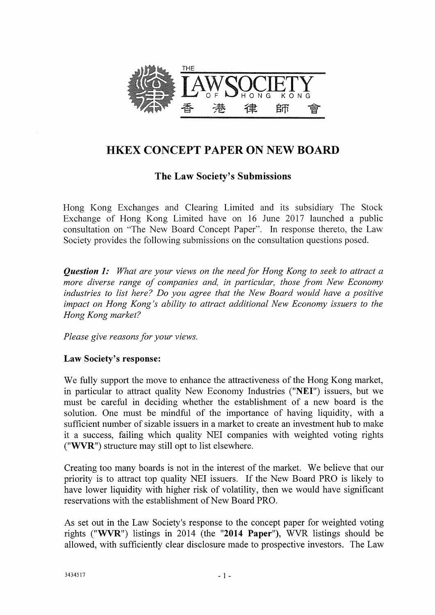

# HKEX CONCEPT PAPER ON NEW BOARD

# The Law Society's Submissions

Hong Kong Exchanges and Clearing Limited and its subsidiary The Stock Exchange of Hong Kong Limited have on 16 June 2017 launched a public consultation on "The New Board Concept Paper". In response thereto, the Law Society provides the following submissions on the consultation questions posed.

*Question 1: What are your views on the need for Hong Kong to seek to attract a more diverse range of companies and, in particular, those from New Economy industries to list here? Do you agree that the New Board would have a positive impact on Hong Kong's ability to attract additional New Economy issuers to the Hong Kong market?* 

*Please give reasons for your views.* 

# Law Society's response:

We fully support the move to enhance the attractiveness of the Hong Kong market, in particular to attract quality New Economy Industries ("NEI") issuers, but we must be careful in deciding whether the establishment of a new board is the solution. One must be mindful of the importance of having liquidity, with a sufficient number of sizable issuers in a market to create an investment hub to make it a success, failing which quality NEI companies with weighted voting rights ("WVR") structure may still opt to list elsewhere.

Creating too many boards is not in the interest of the market. We believe that our priority is to attract top quality NEI issuers. If the New Board PRO is likely to have lower liquidity with higher risk of volatility, then we would have significant reservations with the establishment of New Board PRO.

As set out in the Law Society's response to the concept paper for weighted voting rights ("WVR") listings in 2014 (the "2014 Paper"), WVR listings should be allowed, with sufficiently clear disclosure made to prospective investors. The Law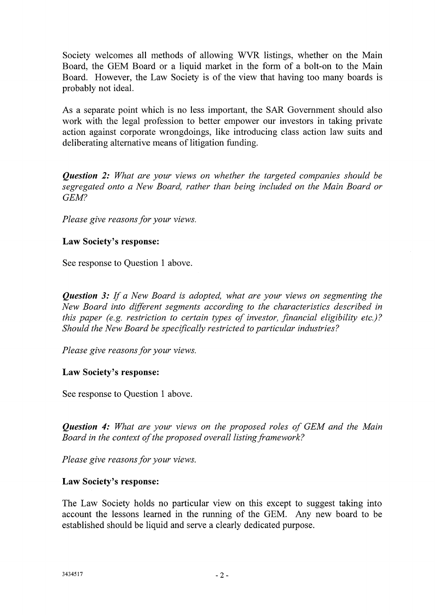Society welcomes all methods of allowing WVR listings, whether on the Main Board, the GEM Board or a liquid market in the form of a bolt-on to the Main Board. However, the Law Society is of the view that having too many boards is probably not ideal.

As a separate point which is no less important, the SAR Government should also work with the legal profession to better empower our investors in taking private action against corporate wrongdoings, like introducing class action law suits and deliberating alternative means of litigation funding.

*Question 2: What are your views on whether the targeted companies should be segregated onto a New Board, rather than being included on the Main Board or GEM?* 

*Please give reasons for your views.* 

# Law Society's response:

See response to Question 1 above.

*Question 3: If a New Board is adopted, what are your views on segmenting the New Board into different segments according to the characteristics described in this paper (e.g. restriction to certain types of investor, financial eligibility etc.)? Should the New Board be specifically restricted to particular industries?* 

*Please give reasons for your views.* 

#### Law Society's response:

See response to Question 1 above.

*Question 4: What are your views on the proposed roles of GEM and the Main Board in the context of the proposed overall listing framework?* 

*Please give reasons for your views.* 

#### Law Society's response:

The Law Society holds no particular view on this except to suggest taking into account the lessons learned in the running of the GEM. Any new board to be established should be liquid and serve a clearly dedicated purpose.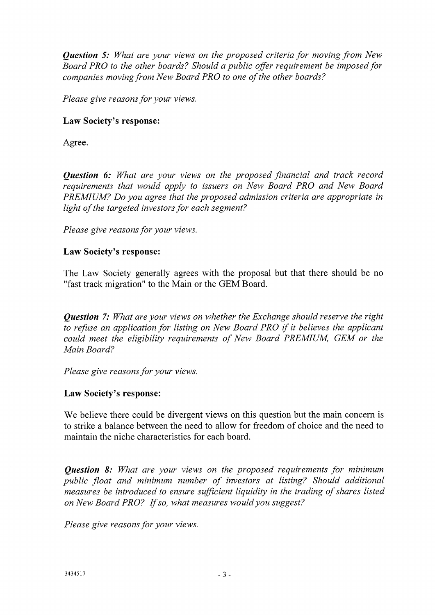*Question 5: What are your views on the proposed criteria for moving from New Board PRO to the other boards? Should a public offer requirement be imposed for companies moving from New Board PRO to one of the other boards?* 

*Please give reasons for your views.* 

#### Law Society's response:

Agree.

*Question 6: What are your views on the proposed financial and track record requirements that would apply to issuers on New Board PRO and New Board PREMIUM? Do you agree that the proposed admission criteria are appropriate in light of the targeted investors for each segment?* 

*Please give reasons for your views.* 

#### Law Society's response:

The Law Society generally agrees with the proposal but that there should be no "fast track migration" to the Main or the GEM Board.

*Question* 7: *What are your views on whether the Exchange should reserve the right to refuse an application for listing on New Board PRO if it believes the applicant could meet the eligibility requirements of New Board PREMIUM, GEM or the Main Board?* 

*Please give reasons for your views.* 

#### Law Society's response:

We believe there could be divergent views on this question but the main concern is to strike a balance between the need to allow for freedom of choice and the need to maintain the niche characteristics for each board.

*Question 8: What are your views on the proposed requirements for minimum public float and minimum number of investors at listing? Should additional measures be introduced to ensure sufficient liquidity in the trading of shares listed on New Board PRO? If so, what measures would you suggest?* 

*Please give reasons for your views.*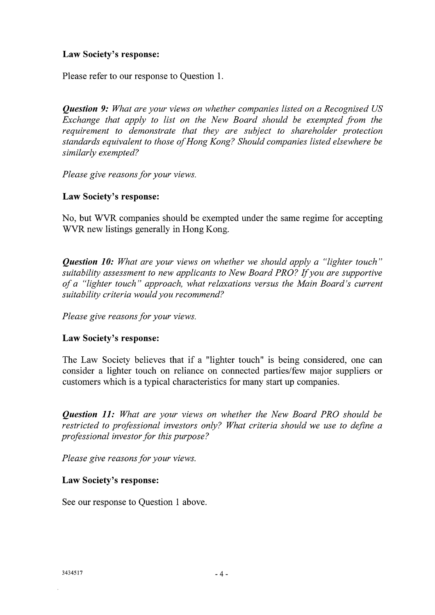#### **Law Society's response:**

Please refer to our response to Question 1.

*Question 9: What are your views on whether companies listed on a Recognised US Exchange that apply to list on the New Board should be exempted from the requirement to demonstrate that they are subject to shareholder protection standards equivalent to those of Hong Kong? Should companies listed elsewhere be similarly exempted?* 

*Please give reasons for your views.* 

#### **Law Society's response:**

No, but WVR companies should be exempted under the same regime for accepting WVR new listings generally in Hong Kong.

*Question 10: What are your views on whether we should apply a "lighter touch" suitability assessment to new applicants to New Board PRO? If you are supportive of a "lighter touch" approach, what relaxations versus the Main Board's current suitability criteria would you recommend?* 

*Please give reasons for your views.* 

# **Law Society's response:**

The Law Society believes that if a "lighter touch" is being considered, one can consider a lighter touch on reliance on connected parties/few major suppliers or customers which is a typical characteristics for many start up companies.

*Question 11: What are your views on whether the New Board PRO should be restricted to professional investors only? What criteria should we use to define a professional investor for this purpose?* 

*Please give reasons for your views.* 

#### **Law Society's response:**

See our response to Question 1 above.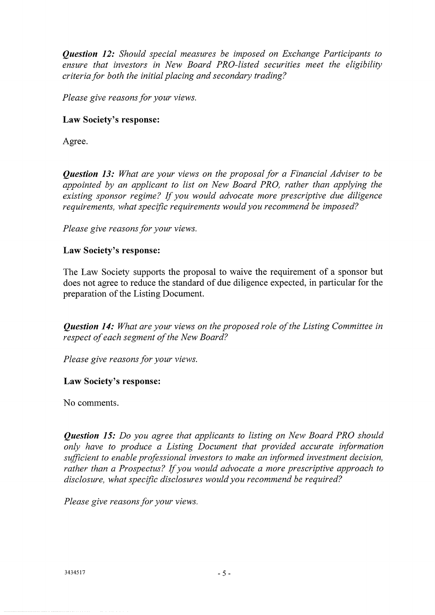*Question 12: Should special measures be imposed on Exchange Participants to ensure that investors in New Board PRO-listed securities meet the eligibility criteria for both the initial placing and secondary trading?* 

*Please give reasons for your views.* 

#### Law Society's response:

Agree.

*Question 13: What are your views on the proposal for a Financial Adviser to be appointed by an applicant to list on New Board PRO, rather than applying the existing sponsor regime? If you would advocate more prescriptive due diligence requirements, what specific requirements would you recommend be imposed?* 

*Please give reasons for your views.* 

#### Law Society's response:

The Law Society supports the proposal to waive the requirement of a sponsor but does not agree to reduce the standard of due diligence expected, in particular for the preparation of the Listing Document.

*Question 14: What are your views on the proposed role of the Listing Committee in respect of each segment of the New Board?* 

*Please give reasons for your views.* 

# Law Society's response:

No comments.

*Question 15: Do you agree that applicants to listing on New Board PRO should only have to produce a Listing Document that provided accurate information sufficient to enable professional investors to make an informed investment decision, rather than a Prospectus? If you would advocate a more prescriptive approach to disclosure, what specific disclosures would you recommend be required?* 

*Please give reasons for your views.*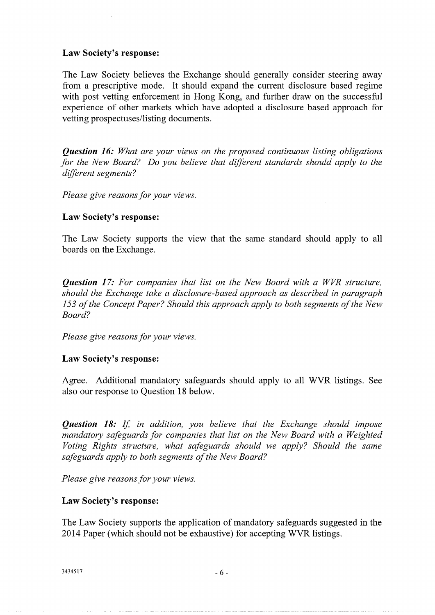#### **Law Society's response:**

The Law Society believes the Exchange should generally consider steering away from a prescriptive mode. It should expand the current disclosure based regime with post vetting enforcement in Hong Kong, and further draw on the successful experience of other markets which have adopted a disclosure based approach for vetting prospectuses/listing documents.

*Question 16: What are your views on the proposed continuous listing obligations for the New Board? Do you believe that different standards should apply to the different segments?* 

*Please give reasons for your views.* 

#### **Law Society's response:**

The Law Society supports the view that the same standard should apply to all boards on the Exchange.

*Question 17: For companies that list on the New Board with a WVR structure, should the Exchange take a disclosure-based approach as described in paragraph 153 of the Concept Paper? Should this approach apply to both segments of the New Board?* 

*Please give reasons for your views.* 

#### **Law Society's response:**

Agree. Additional mandatory safeguards should apply to all WVR listings. See also our response to Question 18 below.

*Question 18: If in addition, you believe that the Exchange should impose mandatory safeguards for companies that list on the New Board with a Weighted Voting Rights structure, what safeguards should we apply? Should the same safeguards apply to both segments of the New Board?* 

*Please give reasons for your views.* 

#### **Law Society's response:**

The Law Society supports the application of mandatory safeguards suggested in the 2014 Paper (which should not be exhaustive) for accepting WVR listings.

 $3434517$  - 6 -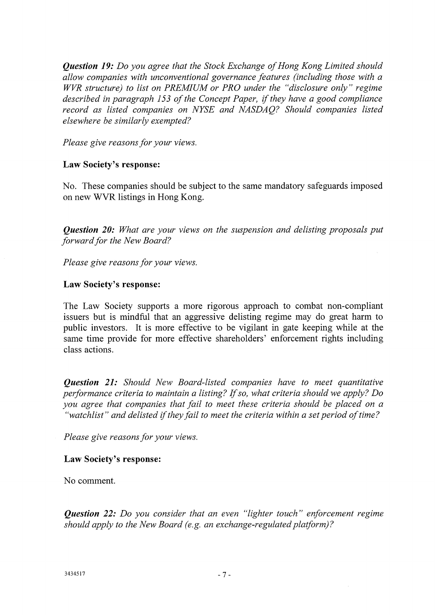*Question 19: Do you agree that the Stock Exchange of Hong Kong Limited should allow companies with unconventional governance features (including those with a WVR structure) to list on PREMIUM or PRO under the "disclosure only" regime described in paragraph 153 of the Concept Paper, if they have a good compliance record as listed companies on NYSE and NASDAQ? Should companies listed elsewhere be similarly exempted?* 

*Please give reasons for your views.* 

#### **Law Society's response:**

No. These companies should be subject to the same mandatory safeguards imposed on new WVR listings in Hong Kong.

*Question 20: What are your views on the suspension and delisting proposals put forward for the New Board?* 

*Please give reasons for your views.* 

#### **Law Society's response:**

The Law Society supports a more rigorous approach to combat non-compliant issuers but is mindful that an aggressive delisting regime may do great harm to public investors. It is more effective to be vigilant in gate keeping while at the same time provide for more effective shareholders' enforcement rights including class actions.

*Question 21: Should New Board-listed companies have to meet quantitative performance criteria to maintain a listing? If so, what criteria should we apply? Do you agree that companies that fail to meet these criteria should be placed on a "watchlist" and delisted if they fail to meet the criteria within a set period of time?* 

*Please give reasons for your views.* 

# **Law Society's response:**

No comment.

*Question 22: Do you consider that an even "lighter touch" enforcement regime should apply to the New Board (e.g. an exchange-regulated platform)?*